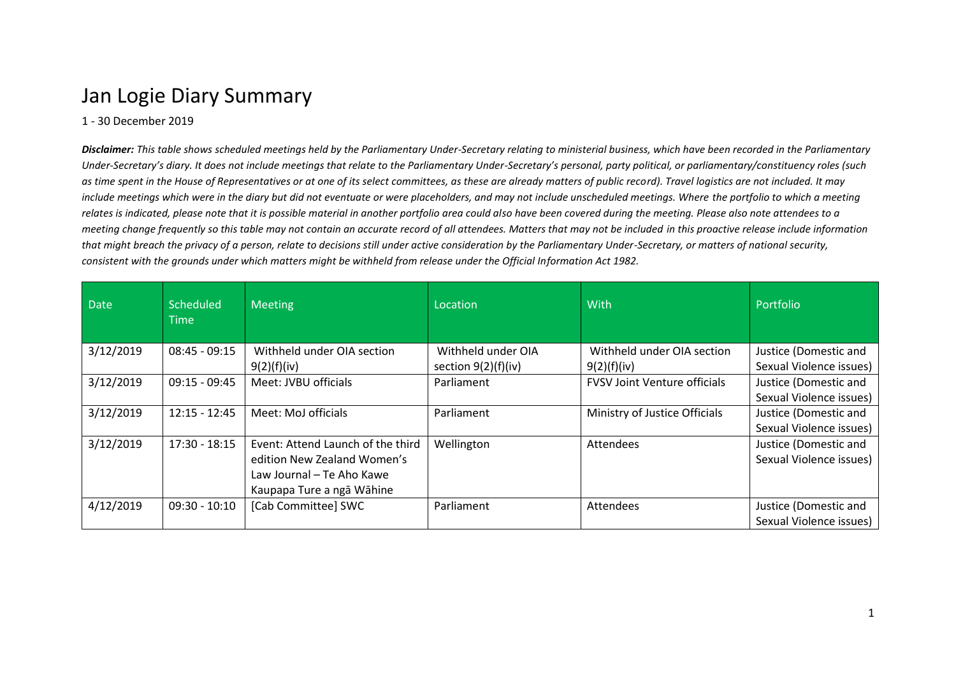## Jan Logie Diary Summary

## 1 - 30 December 2019

*Disclaimer: This table shows scheduled meetings held by the Parliamentary Under-Secretary relating to ministerial business, which have been recorded in the Parliamentary Under-Secretary's diary. It does not include meetings that relate to the Parliamentary Under-Secretary's personal, party political, or parliamentary/constituency roles (such as time spent in the House of Representatives or at one of its select committees, as these are already matters of public record). Travel logistics are not included. It may include meetings which were in the diary but did not eventuate or were placeholders, and may not include unscheduled meetings. Where the portfolio to which a meeting relates is indicated, please note that it is possible material in another portfolio area could also have been covered during the meeting. Please also note attendees to a meeting change frequently so this table may not contain an accurate record of all attendees. Matters that may not be included in this proactive release include information that might breach the privacy of a person, relate to decisions still under active consideration by the Parliamentary Under-Secretary, or matters of national security, consistent with the grounds under which matters might be withheld from release under the Official Information Act 1982.*

| <b>Date</b> | <b>Scheduled</b><br><b>Time</b> | <b>Meeting</b>                                                                                                             | Location                                    | With                                      | Portfolio                                        |
|-------------|---------------------------------|----------------------------------------------------------------------------------------------------------------------------|---------------------------------------------|-------------------------------------------|--------------------------------------------------|
| 3/12/2019   | $08:45 - 09:15$                 | Withheld under OIA section<br>9(2)(f)(iv)                                                                                  | Withheld under OIA<br>section $9(2)(f)(iv)$ | Withheld under OIA section<br>9(2)(f)(iv) | Justice (Domestic and<br>Sexual Violence issues) |
| 3/12/2019   | $09:15 - 09:45$                 | Meet: JVBU officials                                                                                                       | Parliament                                  | <b>FVSV Joint Venture officials</b>       | Justice (Domestic and<br>Sexual Violence issues) |
| 3/12/2019   | $12:15 - 12:45$                 | Meet: MoJ officials                                                                                                        | Parliament                                  | Ministry of Justice Officials             | Justice (Domestic and<br>Sexual Violence issues) |
| 3/12/2019   | $17:30 - 18:15$                 | Event: Attend Launch of the third<br>edition New Zealand Women's<br>Law Journal - Te Aho Kawe<br>Kaupapa Ture a ngā Wāhine | Wellington                                  | <b>Attendees</b>                          | Justice (Domestic and<br>Sexual Violence issues) |
| 4/12/2019   | $09:30 - 10:10$                 | [Cab Committee] SWC                                                                                                        | Parliament                                  | <b>Attendees</b>                          | Justice (Domestic and<br>Sexual Violence issues) |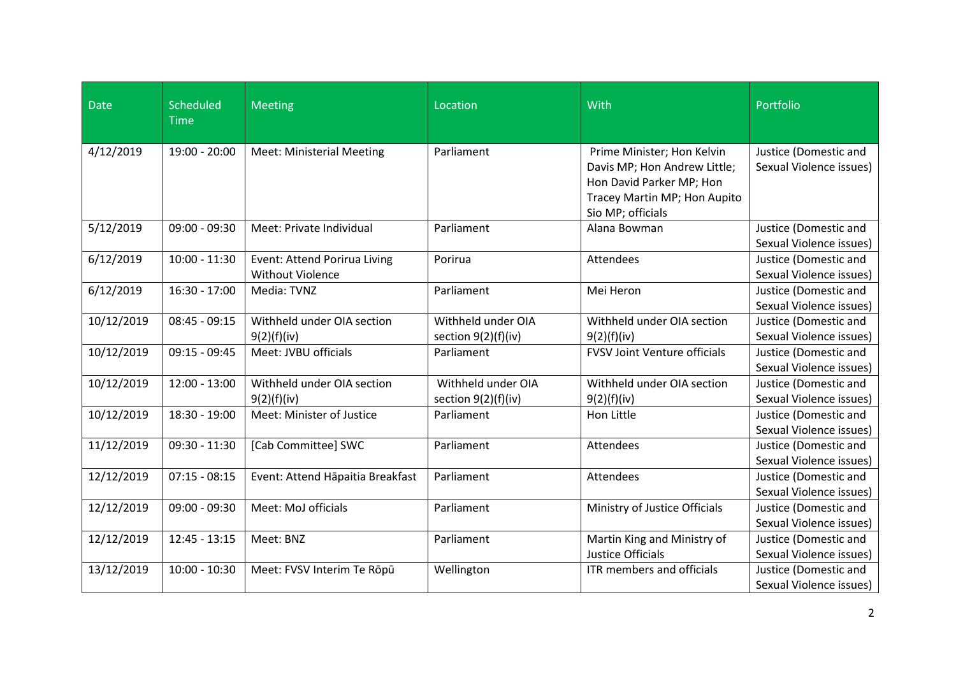| <b>Date</b> | Scheduled<br><b>Time</b> | Meeting                                                 | Location                                  | With                                                                                                                                        | Portfolio                                               |
|-------------|--------------------------|---------------------------------------------------------|-------------------------------------------|---------------------------------------------------------------------------------------------------------------------------------------------|---------------------------------------------------------|
| 4/12/2019   | 19:00 - 20:00            | <b>Meet: Ministerial Meeting</b>                        | Parliament                                | Prime Minister; Hon Kelvin<br>Davis MP; Hon Andrew Little;<br>Hon David Parker MP; Hon<br>Tracey Martin MP; Hon Aupito<br>Sio MP; officials | Justice (Domestic and<br>Sexual Violence issues)        |
| 5/12/2019   | 09:00 - 09:30            | Meet: Private Individual                                | Parliament                                | Alana Bowman                                                                                                                                | Justice (Domestic and<br>Sexual Violence issues)        |
| 6/12/2019   | $10:00 - 11:30$          | Event: Attend Porirua Living<br><b>Without Violence</b> | Porirua                                   | Attendees                                                                                                                                   | Justice (Domestic and<br>Sexual Violence issues)        |
| 6/12/2019   | $16:30 - 17:00$          | Media: TVNZ                                             | Parliament                                | Mei Heron                                                                                                                                   | Justice (Domestic and<br>Sexual Violence issues)        |
| 10/12/2019  | $08:45 - 09:15$          | Withheld under OIA section<br>9(2)(f)(iv)               | Withheld under OIA<br>section 9(2)(f)(iv) | Withheld under OIA section<br>9(2)(f)(iv)                                                                                                   | Justice (Domestic and<br>Sexual Violence issues)        |
| 10/12/2019  | $09:15 - 09:45$          | Meet: JVBU officials                                    | Parliament                                | <b>FVSV Joint Venture officials</b>                                                                                                         | Justice (Domestic and<br>Sexual Violence issues)        |
| 10/12/2019  | $12:00 - 13:00$          | Withheld under OIA section<br>9(2)(f)(iv)               | Withheld under OIA<br>section 9(2)(f)(iv) | Withheld under OIA section<br>9(2)(f)(iv)                                                                                                   | Justice (Domestic and<br>Sexual Violence issues)        |
| 10/12/2019  | 18:30 - 19:00            | Meet: Minister of Justice                               | Parliament                                | Hon Little                                                                                                                                  | Justice (Domestic and<br>Sexual Violence issues)        |
| 11/12/2019  | 09:30 - 11:30            | [Cab Committee] SWC                                     | Parliament                                | Attendees                                                                                                                                   | Justice (Domestic and<br><b>Sexual Violence issues)</b> |
| 12/12/2019  | $07:15 - 08:15$          | Event: Attend Hāpaitia Breakfast                        | Parliament                                | Attendees                                                                                                                                   | Justice (Domestic and<br>Sexual Violence issues)        |
| 12/12/2019  | $09:00 - 09:30$          | Meet: MoJ officials                                     | Parliament                                | Ministry of Justice Officials                                                                                                               | Justice (Domestic and<br>Sexual Violence issues)        |
| 12/12/2019  | $12:45 - 13:15$          | Meet: BNZ                                               | Parliament                                | Martin King and Ministry of<br>Justice Officials                                                                                            | Justice (Domestic and<br>Sexual Violence issues)        |
| 13/12/2019  | $10:00 - 10:30$          | Meet: FVSV Interim Te Rōpū                              | Wellington                                | ITR members and officials                                                                                                                   | Justice (Domestic and<br>Sexual Violence issues)        |